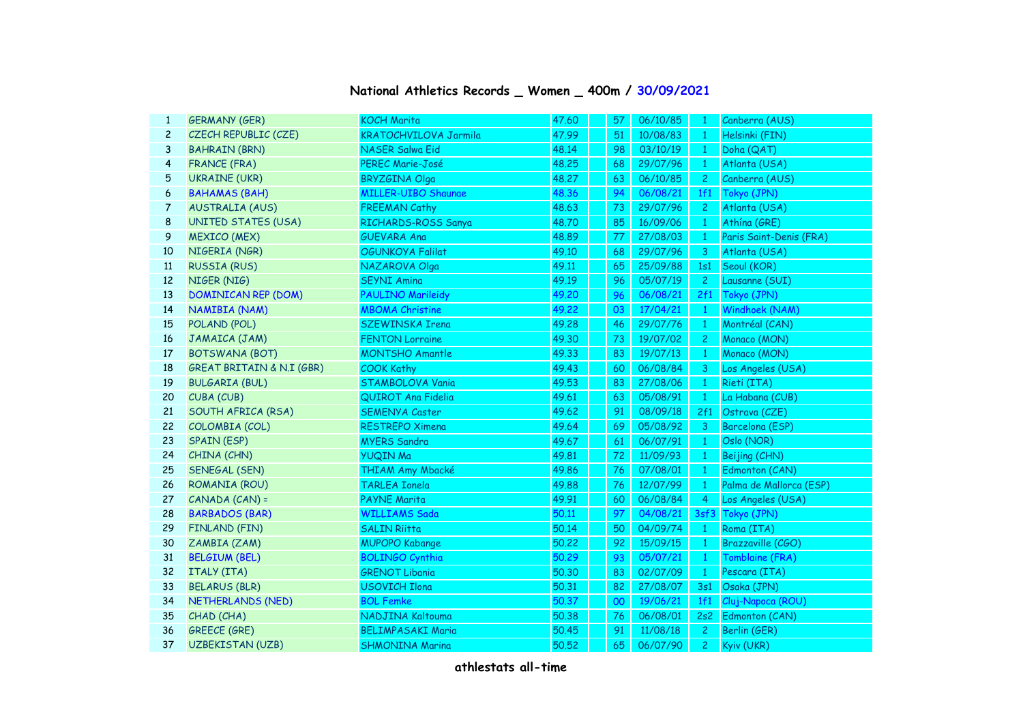## **National Athletics Records \_ Women \_ 400m / 30/09/2021**

| $\mathbf{1}$   | <b>GERMANY (GER)</b>       | <b>KOCH Marita</b>           | 47.60 | 57 | 06/10/85 | $\mathbf{1}$   | Canberra (AUS)          |
|----------------|----------------------------|------------------------------|-------|----|----------|----------------|-------------------------|
| $\overline{c}$ | CZECH REPUBLIC (CZE)       | <b>KRATOCHVILOVA Jarmila</b> | 47.99 | 51 | 10/08/83 | $\mathbf{1}$   | Helsinki (FIN)          |
| 3              | <b>BAHRAIN (BRN)</b>       | <b>NASER Salwa Eid</b>       | 48.14 | 98 | 03/10/19 | $\mathbf{1}$   | Doha (QAT)              |
| 4              | <b>FRANCE (FRA)</b>        | <b>PEREC Marie-José</b>      | 48,25 | 68 | 29/07/96 | -1             | Atlanta (USA)           |
| 5              | <b>UKRAINE (UKR)</b>       | <b>BRYZGINA Olga</b>         | 48.27 | 63 | 06/10/85 | $\mathbf{2}$   | Canberra (AUS)          |
| 6              | <b>BAHAMAS (BAH)</b>       | <b>MILLER-UIBO Shaunae</b>   | 48.36 | 94 | 06/08/21 | 1f1            | Tokyo (JPN)             |
| 7              | <b>AUSTRALIA (AUS)</b>     | <b>FREEMAN Cathy</b>         | 48.63 | 73 | 29/07/96 | $\mathbf{2}$   | Atlanta (USA)           |
| 8              | <b>UNITED STATES (USA)</b> | RICHARDS-ROSS Sanya          | 48.70 | 85 | 16/09/06 | $\mathbf{1}$   | Athína (GRE)            |
| 9              | <b>MEXICO (MEX)</b>        | <b>GUEVARA Ana</b>           | 48.89 | 77 | 27/08/03 | $\mathbf{1}$   | Paris Saint-Denis (FRA) |
| 10             | NIGERIA (NGR)              | OGUNKOYA Falilat             | 49.10 | 68 | 29/07/96 | 3              | Atlanta (USA)           |
| 11             | <b>RUSSIA (RUS)</b>        | NAZAROVA Olga                | 49.11 | 65 | 25/09/88 | 1s1            | Seoul (KOR)             |
| 12             | NIGER (NIG)                | <b>SEYNI Amina</b>           | 49.19 | 96 | 05/07/19 | $\overline{c}$ | Lausanne (SUI)          |
| 13             | <b>DOMINICAN REP (DOM)</b> | <b>PAULINO Marileidy</b>     | 49.20 | 96 | 06/08/21 | 2f1            | Tokyo (JPN)             |
| 14             | NAMIBIA (NAM)              | <b>MBOMA Christine</b>       | 49.22 | 03 | 17/04/21 | $\mathbf{1}$   | Windhoek (NAM)          |
| 15             | POLAND (POL)               | <b>SZEWINSKA Irena</b>       | 49.28 | 46 | 29/07/76 | $\mathbf{1}$   | Montréal (CAN)          |
| 16             | JAMAICA (JAM)              | <b>FENTON Lorraine</b>       | 49.30 | 73 | 19/07/02 | $\overline{c}$ | Monaco (MON)            |
| 17             | <b>BOTSWANA (BOT)</b>      | <b>MONTSHO Amantle</b>       | 49.33 | 83 | 19/07/13 | $\mathbf{1}$   | Monaco (MON)            |
| 18             | GREAT BRITAIN & N.I (GBR)  | <b>COOK Kathy</b>            | 49.43 | 60 | 06/08/84 | 3              | Los Angeles (USA)       |
| 19             | <b>BULGARIA (BUL)</b>      | <b>STAMBOLOVA Vania</b>      | 49.53 | 83 | 27/08/06 | $\mathbf{1}$   | Rieti (ITA)             |
| 20             | CUBA (CUB)                 | QUIROT Ana Fidelia           | 49.61 | 63 | 05/08/91 | $\mathbf{1}$   | La Habana (CUB)         |
| 21             | SOUTH AFRICA (RSA)         | <b>SEMENYA Caster</b>        | 49.62 | 91 | 08/09/18 | 2f1            | Ostrava (CZE)           |
| 22             | COLOMBIA (COL)             | <b>RESTREPO Ximena</b>       | 49.64 | 69 | 05/08/92 | 3              | Barcelona (ESP)         |
| 23             | <b>SPAIN (ESP)</b>         | <b>MYERS Sandra</b>          | 49.67 | 61 | 06/07/91 | $\mathbf{1}$   | Oslo (NOR)              |
| 24             | CHINA (CHN)                | <b>YUQIN Ma</b>              | 49.81 | 72 | 11/09/93 | $\mathbf{1}$   | Beijing (CHN)           |
| 25             | SENEGAL (SEN)              | THIAM Amy Mbacké             | 49.86 | 76 | 07/08/01 | $\mathbf{1}$   | Edmonton (CAN)          |
| 26             | ROMANIA (ROU)              | <b>TARLEA Ionela</b>         | 49.88 | 76 | 12/07/99 | $\mathbf{1}$   | Palma de Mallorca (ESP) |
| 27             | CANADA (CAN) =             | <b>PAYNE Marita</b>          | 49.91 | 60 | 06/08/84 | 4              | Los Angeles (USA)       |
| 28             | <b>BARBADOS (BAR)</b>      | <b>WILLIAMS Sada</b>         | 50.11 | 97 | 04/08/21 |                | 3sf3 Tokyo (JPN)        |
| 29             | FINLAND (FIN)              | <b>SALIN Riitta</b>          | 50.14 | 50 | 04/09/74 | $\mathbf{1}$   | Roma (ITA)              |
| 30             | ZAMBIA (ZAM)               | <b>MUPOPO Kabange</b>        | 50,22 | 92 | 15/09/15 | $\mathbf{1}$   | Brazzaville (CGO)       |
| 31             | <b>BELGIUM (BEL)</b>       | <b>BOLINGO Cynthia</b>       | 50.29 | 93 | 05/07/21 | $\mathbf{1}$   | Tomblaine (FRA)         |
| 32             | ITALY (ITA)                | <b>GRENOT Libania</b>        | 50.30 | 83 | 02/07/09 | $\mathbf{1}$   | Pescara (ITA)           |
| 33             | <b>BELARUS (BLR)</b>       | <b>USOVICH Ilona</b>         | 50.31 | 82 | 27/08/07 | 3s1            | Osaka (JPN)             |
| 34             | NETHERLANDS (NED)          | <b>BOL Femke</b>             | 50,37 | 00 | 19/06/21 | 1f1            | Cluj-Napoca (ROU)       |
| 35             | CHAD (CHA)                 | NADJINA Kaltouma             | 50.38 | 76 | 06/08/01 | 2s2            | Edmonton (CAN)          |
| 36             | <b>GREECE (GRE)</b>        | <b>BELIMPASAKI Maria</b>     | 50.45 | 91 | 11/08/18 | $\mathbf{2}$   | Berlin (GER)            |
| 37             | <b>UZBEKISTAN (UZB)</b>    | <b>SHMONINA Marina</b>       | 50.52 | 65 | 06/07/90 | $\overline{c}$ | Kyiv (UKR)              |
|                |                            |                              |       |    |          |                |                         |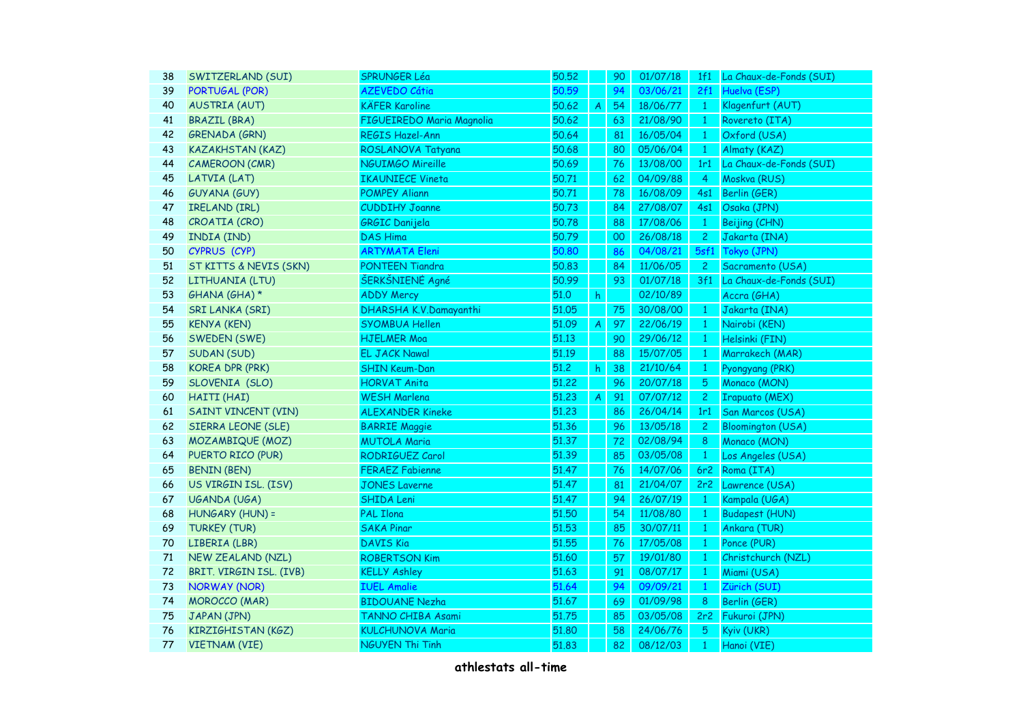| SWITZERLAND (SUI)          | <b>SPRUNGER Léa</b>                                                                                       | 50.52                                                                                                                                                                                                                    |                           | 90 | 01/07/18 | 1f1            | La Chaux-de-Fonds (SUI)  |
|----------------------------|-----------------------------------------------------------------------------------------------------------|--------------------------------------------------------------------------------------------------------------------------------------------------------------------------------------------------------------------------|---------------------------|----|----------|----------------|--------------------------|
| <b>PORTUGAL (POR)</b>      | <b>AZEVEDO Cátia</b>                                                                                      | 50.59                                                                                                                                                                                                                    |                           | 94 | 03/06/21 | 2f1            | Huelva (ESP)             |
| <b>AUSTRIA (AUT)</b>       | <b>KÄFER Karoline</b>                                                                                     | 50.62                                                                                                                                                                                                                    | $\boldsymbol{A}$          | 54 | 18/06/77 | $\mathbf{1}$   | Klagenfurt (AUT)         |
| <b>BRAZIL (BRA)</b>        | FIGUEIREDO Maria Magnolia                                                                                 | 50.62                                                                                                                                                                                                                    |                           | 63 | 21/08/90 | $\mathbf{1}$   | Rovereto (ITA)           |
| <b>GRENADA (GRN)</b>       | <b>REGIS Hazel-Ann</b>                                                                                    | 50.64                                                                                                                                                                                                                    |                           | 81 | 16/05/04 | $\mathbf{1}$   | Oxford (USA)             |
| <b>KAZAKHSTAN (KAZ)</b>    | ROSLANOVA Tatyana                                                                                         | 50.68                                                                                                                                                                                                                    |                           | 80 | 05/06/04 | $\mathbf{1}$   | Almaty (KAZ)             |
| <b>CAMEROON (CMR)</b>      |                                                                                                           | 50.69                                                                                                                                                                                                                    |                           | 76 | 13/08/00 | 1r1            | La Chaux-de-Fonds (SUI)  |
|                            |                                                                                                           | 50.71                                                                                                                                                                                                                    |                           | 62 | 04/09/88 | $\overline{4}$ | Moskva (RUS)             |
|                            |                                                                                                           | 50.71                                                                                                                                                                                                                    |                           | 78 | 16/08/09 | 4s1            | Berlin (GER)             |
| <b>IRELAND (IRL)</b>       | <b>CUDDIHY Joanne</b>                                                                                     | 50.73                                                                                                                                                                                                                    |                           | 84 | 27/08/07 | 4s1            | Osaka (JPN)              |
| CROATIA (CRO)              | <b>GRGIC Danijela</b>                                                                                     | 50.78                                                                                                                                                                                                                    |                           | 88 | 17/08/06 | $\mathbf{1}$   | Beijing (CHN)            |
| INDIA (IND)                | <b>DAS Hima</b>                                                                                           | 50.79                                                                                                                                                                                                                    |                           | 00 | 26/08/18 | 2 <sup>1</sup> | Jakarta (INA)            |
| CYPRUS (CYP)               | <b>ARTYMATA Eleni</b>                                                                                     | 50.80                                                                                                                                                                                                                    |                           | 86 | 04/08/21 | 5sf1           | Tokyo (JPN)              |
| ST KITTS & NEVIS (SKN)     | PONTEEN Tiandra                                                                                           | 50.83                                                                                                                                                                                                                    |                           | 84 | 11/06/05 | $\mathbf{2}$   | Sacramento (USA)         |
|                            | ŠERKŠNIENĖ Agné                                                                                           | 50.99                                                                                                                                                                                                                    |                           | 93 | 01/07/18 | 3f1            | La Chaux-de-Fonds (SUI)  |
| GHANA (GHA) *              | <b>ADDY Mercy</b>                                                                                         | 51.0                                                                                                                                                                                                                     | h.                        |    | 02/10/89 |                | Accra (GHA)              |
| <b>SRI LANKA (SRI)</b>     |                                                                                                           | 51.05                                                                                                                                                                                                                    |                           | 75 | 30/08/00 | $\mathbf{1}$   | Jakarta (INA)            |
| <b>KENYA (KEN)</b>         | <b>SYOMBUA Hellen</b>                                                                                     | 51.09                                                                                                                                                                                                                    | $\boldsymbol{A}$          | 97 | 22/06/19 | $\mathbf{1}$   | Nairobi (KEN)            |
| SWEDEN (SWE)               |                                                                                                           | 51.13                                                                                                                                                                                                                    |                           | 90 | 29/06/12 | $\mathbf{1}$   | Helsinki (FIN)           |
| <b>SUDAN (SUD)</b>         | <b>EL JACK Nawal</b>                                                                                      | 51.19                                                                                                                                                                                                                    |                           | 88 | 15/07/05 | $\mathbf{1}$   | Marrakech (MAR)          |
| <b>KOREA DPR (PRK)</b>     | <b>SHIN Keum-Dan</b>                                                                                      | 51.2                                                                                                                                                                                                                     | h                         | 38 | 21/10/64 | $\mathbf{1}$   | Pyongyang (PRK)          |
| SLOVENIA (SLO)             | <b>HORVAT Anita</b>                                                                                       | 51,22                                                                                                                                                                                                                    |                           | 96 | 20/07/18 | 5              | Monaco (MON)             |
|                            | <b>WESH Marlena</b>                                                                                       | 51.23                                                                                                                                                                                                                    | $\boldsymbol{\mathsf{A}}$ | 91 | 07/07/12 | $\mathbf{2}$   | <b>Irapuato (MEX)</b>    |
| <b>SAINT VINCENT (VIN)</b> | <b>ALEXANDER Kineke</b>                                                                                   | 51.23                                                                                                                                                                                                                    |                           | 86 | 26/04/14 | 1r1            | San Marcos (USA)         |
| <b>SIERRA LEONE (SLE)</b>  |                                                                                                           | 51.36                                                                                                                                                                                                                    |                           | 96 | 13/05/18 | $\mathbf{2}$   | <b>Bloomington (USA)</b> |
| MOZAMBIQUE (MOZ)           | <b>MUTOLA Maria</b>                                                                                       | 51.37                                                                                                                                                                                                                    |                           | 72 | 02/08/94 | 8              | Monaco (MON)             |
| PUERTO RICO (PUR)          | RODRIGUEZ Carol                                                                                           | 51.39                                                                                                                                                                                                                    |                           | 85 | 03/05/08 | $\mathbf{1}$   | Los Angeles (USA)        |
| <b>BENIN (BEN)</b>         | <b>FERAEZ Fabienne</b>                                                                                    | 51.47                                                                                                                                                                                                                    |                           | 76 | 14/07/06 | 6r2            | Roma (ITA)               |
| US VIRGIN ISL. (ISV)       | <b>JONES Laverne</b>                                                                                      | 51.47                                                                                                                                                                                                                    |                           | 81 | 21/04/07 | 2r2            | Lawrence (USA)           |
| UGANDA (UGA)               | <b>SHIDA Leni</b>                                                                                         | 51.47                                                                                                                                                                                                                    |                           | 94 | 26/07/19 | $\mathbf{1}$   | Kampala (UGA)            |
|                            |                                                                                                           | 51,50                                                                                                                                                                                                                    |                           | 54 | 11/08/80 | $\mathbf{1}$   | <b>Budapest (HUN)</b>    |
| <b>TURKEY (TUR)</b>        | <b>SAKA Pinar</b>                                                                                         | 51.53                                                                                                                                                                                                                    |                           | 85 | 30/07/11 | $\mathbf{1}$   | Ankara (TUR)             |
|                            | <b>DAVIS Kia</b>                                                                                          | 51.55                                                                                                                                                                                                                    |                           | 76 | 17/05/08 | $\mathbf{1}$   | Ponce (PUR)              |
| NEW ZEALAND (NZL)          |                                                                                                           | 51.60                                                                                                                                                                                                                    |                           | 57 | 19/01/80 | $\mathbf{1}$   | Christchurch (NZL)       |
| BRIT. VIRGIN ISL. (IVB)    | <b>KELLY Ashley</b>                                                                                       | 51.63                                                                                                                                                                                                                    |                           | 91 | 08/07/17 | $\mathbf{1}$   | Miami (USA)              |
| <b>NORWAY (NOR)</b>        | <b>IUEL Amalie</b>                                                                                        | 51.64                                                                                                                                                                                                                    |                           | 94 | 09/09/21 | $\mathbf{1}$   | Zürich (SUI)             |
| <b>MOROCCO (MAR)</b>       | <b>BIDOUANE Nezha</b>                                                                                     | 51.67                                                                                                                                                                                                                    |                           | 69 | 01/09/98 | 8              | Berlin (GER)             |
| JAPAN (JPN)                | TANNO CHIBA Asami                                                                                         | 51,75                                                                                                                                                                                                                    |                           | 85 | 03/05/08 | 2r2            | Fukuroi (JPN)            |
| KIRZIGHISTAN (KGZ)         | <b>KULCHUNOVA Maria</b>                                                                                   | 51,80                                                                                                                                                                                                                    |                           | 58 | 24/06/76 | 5              | Kyiv (UKR)               |
| <b>VIETNAM (VIE)</b>       |                                                                                                           | 51.83                                                                                                                                                                                                                    |                           | 82 | 08/12/03 | $\mathbf{1}$   | Hanoi (VIE)              |
|                            | LATVIA (LAT)<br><b>GUYANA (GUY)</b><br>LITHUANIA (LTU)<br>HAITI (HAI)<br>HUNGARY (HUN) =<br>LIBERIA (LBR) | <b>NGUIMGO Mireille</b><br><b>IKAUNIECE Vineta</b><br><b>POMPEY Aliann</b><br>DHARSHA K.V.Damayanthi<br><b>HJELMER Moa</b><br><b>BARRIE Maggie</b><br><b>PAL Ilona</b><br><b>ROBERTSON Kim</b><br><b>NGUYEN Thi Tinh</b> |                           |    |          |                |                          |